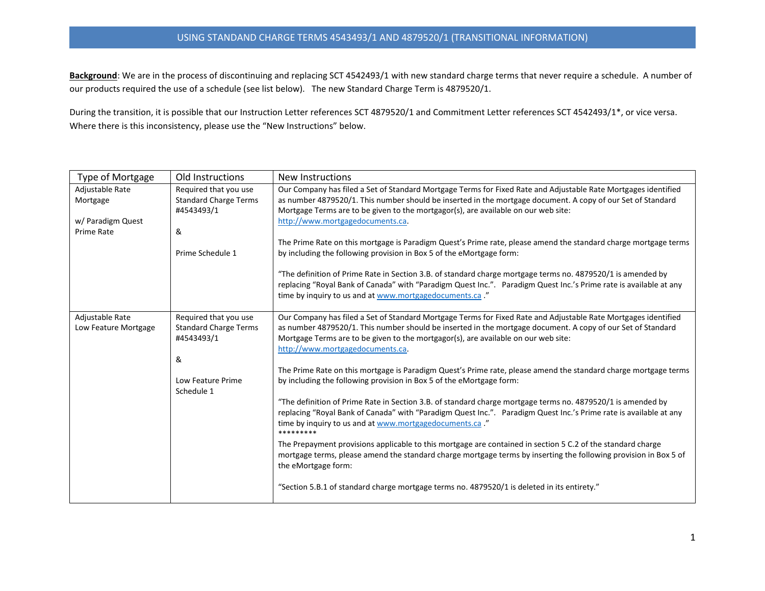## USING STANDAND CHARGE TERMS 4543493/1 AND 4879520/1 (TRANSITIONAL INFORMATION)

Background: We are in the process of discontinuing and replacing SCT 4542493/1 with new standard charge terms that never require a schedule. A number of our products required the use of a schedule (see list below). The new Standard Charge Term is 4879520/1.

During the transition, it is possible that our Instruction Letter references SCT 4879520/1 and Commitment Letter references SCT 4542493/1\*, or vice versa. Where there is this inconsistency, please use the "New Instructions" below.

| Type of Mortgage     | Old Instructions                           | New Instructions                                                                                                                                                                                                                                                                            |
|----------------------|--------------------------------------------|---------------------------------------------------------------------------------------------------------------------------------------------------------------------------------------------------------------------------------------------------------------------------------------------|
| Adjustable Rate      | Required that you use                      | Our Company has filed a Set of Standard Mortgage Terms for Fixed Rate and Adjustable Rate Mortgages identified                                                                                                                                                                              |
| Mortgage             | <b>Standard Charge Terms</b><br>#4543493/1 | as number 4879520/1. This number should be inserted in the mortgage document. A copy of our Set of Standard<br>Mortgage Terms are to be given to the mortgagor(s), are available on our web site:                                                                                           |
| w/ Paradigm Quest    |                                            | http://www.mortgagedocuments.ca.                                                                                                                                                                                                                                                            |
| <b>Prime Rate</b>    | &                                          |                                                                                                                                                                                                                                                                                             |
|                      |                                            | The Prime Rate on this mortgage is Paradigm Quest's Prime rate, please amend the standard charge mortgage terms                                                                                                                                                                             |
|                      | Prime Schedule 1                           | by including the following provision in Box 5 of the eMortgage form:                                                                                                                                                                                                                        |
|                      |                                            | "The definition of Prime Rate in Section 3.B. of standard charge mortgage terms no. 4879520/1 is amended by<br>replacing "Royal Bank of Canada" with "Paradigm Quest Inc.". Paradigm Quest Inc.'s Prime rate is available at any<br>time by inquiry to us and at www.mortgagedocuments.ca." |
| Adjustable Rate      | Required that you use                      | Our Company has filed a Set of Standard Mortgage Terms for Fixed Rate and Adjustable Rate Mortgages identified                                                                                                                                                                              |
| Low Feature Mortgage | <b>Standard Charge Terms</b><br>#4543493/1 | as number 4879520/1. This number should be inserted in the mortgage document. A copy of our Set of Standard<br>Mortgage Terms are to be given to the mortgagor(s), are available on our web site:                                                                                           |
|                      |                                            | http://www.mortgagedocuments.ca.                                                                                                                                                                                                                                                            |
|                      | &                                          |                                                                                                                                                                                                                                                                                             |
|                      |                                            | The Prime Rate on this mortgage is Paradigm Quest's Prime rate, please amend the standard charge mortgage terms                                                                                                                                                                             |
|                      | Low Feature Prime<br>Schedule 1            | by including the following provision in Box 5 of the eMortgage form:                                                                                                                                                                                                                        |
|                      |                                            | "The definition of Prime Rate in Section 3.B. of standard charge mortgage terms no. 4879520/1 is amended by                                                                                                                                                                                 |
|                      |                                            | replacing "Royal Bank of Canada" with "Paradigm Quest Inc.". Paradigm Quest Inc.'s Prime rate is available at any                                                                                                                                                                           |
|                      |                                            | time by inquiry to us and at www.mortgagedocuments.ca."<br>*********                                                                                                                                                                                                                        |
|                      |                                            | The Prepayment provisions applicable to this mortgage are contained in section 5 C.2 of the standard charge<br>mortgage terms, please amend the standard charge mortgage terms by inserting the following provision in Box 5 of<br>the eMortgage form:                                      |
|                      |                                            | "Section 5.B.1 of standard charge mortgage terms no. 4879520/1 is deleted in its entirety."                                                                                                                                                                                                 |